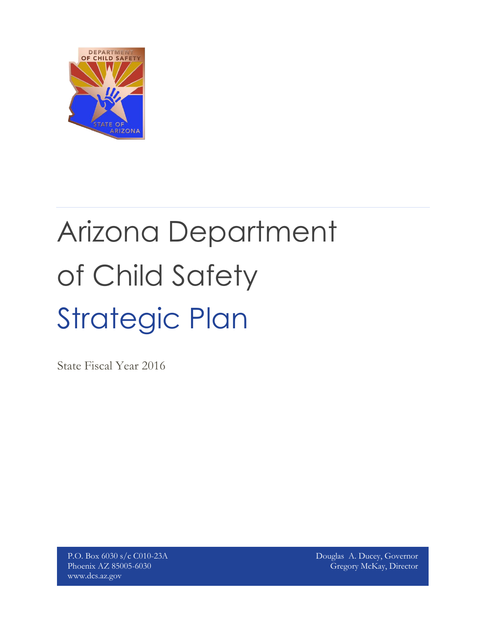

# Strategic Plan Arizona Department of Child Safety

State Fiscal Year 2016

P.O. Box 6030 s/c C010-23A Phoenix AZ 85005-6030 www.dcs.az.gov

Douglas A. Ducey, Governor Gregory McKay, Director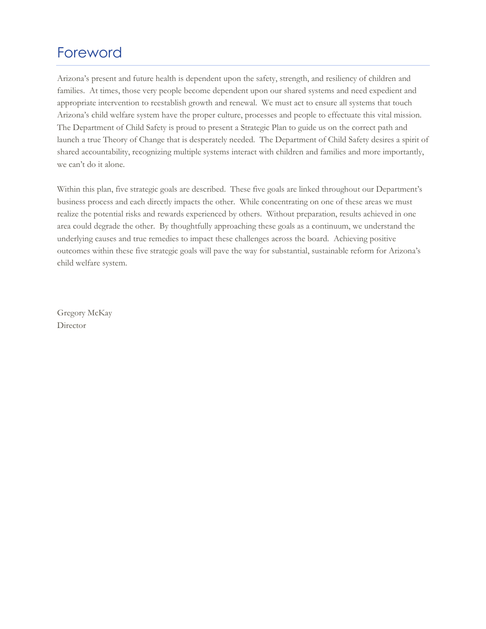## Foreword

Arizona's present and future health is dependent upon the safety, strength, and resiliency of children and families. At times, those very people become dependent upon our shared systems and need expedient and appropriate intervention to reestablish growth and renewal. We must act to ensure all systems that touch Arizona's child welfare system have the proper culture, processes and people to effectuate this vital mission. The Department of Child Safety is proud to present a Strategic Plan to guide us on the correct path and launch a true Theory of Change that is desperately needed. The Department of Child Safety desires a spirit of shared accountability, recognizing multiple systems interact with children and families and more importantly, we can't do it alone.

Within this plan, five strategic goals are described. These five goals are linked throughout our Department's business process and each directly impacts the other. While concentrating on one of these areas we must realize the potential risks and rewards experienced by others. Without preparation, results achieved in one area could degrade the other. By thoughtfully approaching these goals as a continuum, we understand the underlying causes and true remedies to impact these challenges across the board. Achieving positive outcomes within these five strategic goals will pave the way for substantial, sustainable reform for Arizona's child welfare system.

Gregory McKay Director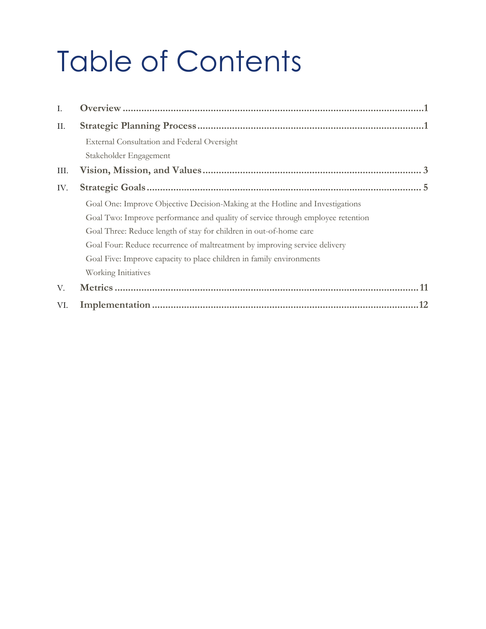## Table of Contents

| Ι.   |                                                                                 |
|------|---------------------------------------------------------------------------------|
| II.  |                                                                                 |
|      | External Consultation and Federal Oversight                                     |
|      | Stakeholder Engagement                                                          |
| III. |                                                                                 |
| IV.  |                                                                                 |
|      | Goal One: Improve Objective Decision-Making at the Hotline and Investigations   |
|      | Goal Two: Improve performance and quality of service through employee retention |
|      | Goal Three: Reduce length of stay for children in out-of-home care              |
|      | Goal Four: Reduce recurrence of maltreatment by improving service delivery      |
|      | Goal Five: Improve capacity to place children in family environments            |
|      | Working Initiatives                                                             |
| V.   |                                                                                 |
| VI.  |                                                                                 |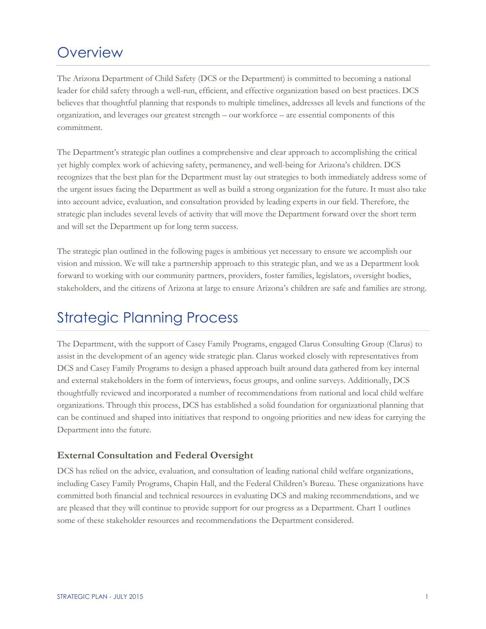## <span id="page-3-0"></span>**Overview**

The Arizona Department of Child Safety (DCS or the Department) is committed to becoming a national leader for child safety through a well-run, efficient, and effective organization based on best practices. DCS believes that thoughtful planning that responds to multiple timelines, addresses all levels and functions of the organization, and leverages our greatest strength – our workforce – are essential components of this commitment.

The Department's strategic plan outlines a comprehensive and clear approach to accomplishing the critical yet highly complex work of achieving safety, permanency, and well-being for Arizona's children. DCS recognizes that the best plan for the Department must lay out strategies to both immediately address some of the urgent issues facing the Department as well as build a strong organization for the future. It must also take into account advice, evaluation, and consultation provided by leading experts in our field. Therefore, the strategic plan includes several levels of activity that will move the Department forward over the short term and will set the Department up for long term success.

The strategic plan outlined in the following pages is ambitious yet necessary to ensure we accomplish our vision and mission. We will take a partnership approach to this strategic plan, and we as a Department look forward to working with our community partners, providers, foster families, legislators, oversight bodies, stakeholders, and the citizens of Arizona at large to ensure Arizona's children are safe and families are strong.

## <span id="page-3-1"></span>Strategic Planning Process

The Department, with the support of Casey Family Programs, engaged Clarus Consulting Group (Clarus) to assist in the development of an agency wide strategic plan. Clarus worked closely with representatives from DCS and Casey Family Programs to design a phased approach built around data gathered from key internal and external stakeholders in the form of interviews, focus groups, and online surveys. Additionally, DCS thoughtfully reviewed and incorporated a number of recommendations from national and local child welfare organizations. Through this process, DCS has established a solid foundation for organizational planning that can be continued and shaped into initiatives that respond to ongoing priorities and new ideas for carrying the Department into the future.

#### <span id="page-3-2"></span>**External Consultation and Federal Oversight**

DCS has relied on the advice, evaluation, and consultation of leading national child welfare organizations, including Casey Family Programs, Chapin Hall, and the Federal Children's Bureau. These organizations have committed both financial and technical resources in evaluating DCS and making recommendations, and we are pleased that they will continue to provide support for our progress as a Department. Chart 1 outlines some of these stakeholder resources and recommendations the Department considered.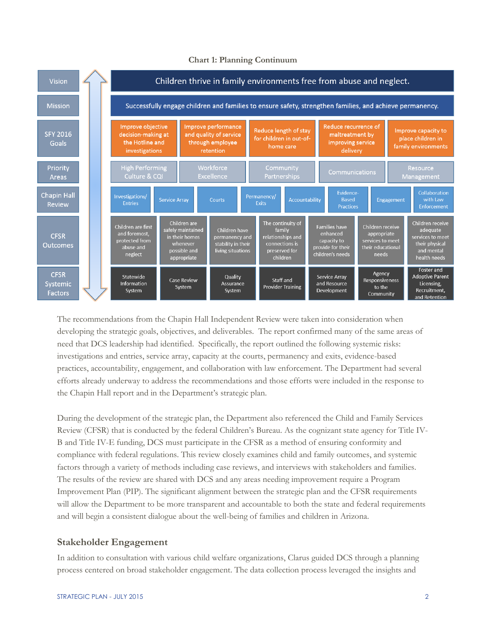

#### **Chart 1: Planning Continuum**

The recommendations from the Chapin Hall Independent Review were taken into consideration when developing the strategic goals, objectives, and deliverables. The report confirmed many of the same areas of need that DCS leadership had identified. Specifically, the report outlined the following systemic risks: investigations and entries, service array, capacity at the courts, permanency and exits, evidence-based practices, accountability, engagement, and collaboration with law enforcement. The Department had several efforts already underway to address the recommendations and those efforts were included in the response to the Chapin Hall report and in the Department's strategic plan.

During the development of the strategic plan, the Department also referenced the Child and Family Services Review (CFSR) that is conducted by the federal Children's Bureau. As the cognizant state agency for Title IV-B and Title IV-E funding, DCS must participate in the CFSR as a method of ensuring conformity and compliance with federal regulations. This review closely examines child and family outcomes, and systemic factors through a variety of methods including case reviews, and interviews with stakeholders and families. The results of the review are shared with DCS and any areas needing improvement require a Program Improvement Plan (PIP). The significant alignment between the strategic plan and the CFSR requirements will allow the Department to be more transparent and accountable to both the state and federal requirements and will begin a consistent dialogue about the well-being of families and children in Arizona.

#### <span id="page-4-0"></span>**Stakeholder Engagement**

In addition to consultation with various child welfare organizations, Clarus guided DCS through a planning process centered on broad stakeholder engagement. The data collection process leveraged the insights and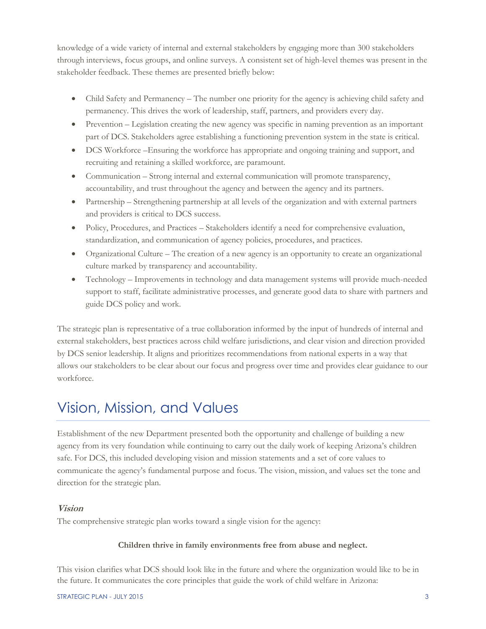knowledge of a wide variety of internal and external stakeholders by engaging more than 300 stakeholders through interviews, focus groups, and online surveys. A consistent set of high-level themes was present in the stakeholder feedback. These themes are presented briefly below:

- Child Safety and Permanency The number one priority for the agency is achieving child safety and permanency. This drives the work of leadership, staff, partners, and providers every day.
- Prevention Legislation creating the new agency was specific in naming prevention as an important part of DCS. Stakeholders agree establishing a functioning prevention system in the state is critical.
- DCS Workforce –Ensuring the workforce has appropriate and ongoing training and support, and recruiting and retaining a skilled workforce, are paramount.
- Communication Strong internal and external communication will promote transparency, accountability, and trust throughout the agency and between the agency and its partners.
- Partnership Strengthening partnership at all levels of the organization and with external partners and providers is critical to DCS success.
- Policy, Procedures, and Practices Stakeholders identify a need for comprehensive evaluation, standardization, and communication of agency policies, procedures, and practices.
- Organizational Culture The creation of a new agency is an opportunity to create an organizational culture marked by transparency and accountability.
- Technology Improvements in technology and data management systems will provide much-needed support to staff, facilitate administrative processes, and generate good data to share with partners and guide DCS policy and work.

The strategic plan is representative of a true collaboration informed by the input of hundreds of internal and external stakeholders, best practices across child welfare jurisdictions, and clear vision and direction provided by DCS senior leadership. It aligns and prioritizes recommendations from national experts in a way that allows our stakeholders to be clear about our focus and progress over time and provides clear guidance to our workforce.

## <span id="page-5-0"></span>Vision, Mission, and Values

Establishment of the new Department presented both the opportunity and challenge of building a new agency from its very foundation while continuing to carry out the daily work of keeping Arizona's children safe. For DCS, this included developing vision and mission statements and a set of core values to communicate the agency's fundamental purpose and focus. The vision, mission, and values set the tone and direction for the strategic plan.

#### **Vision**

The comprehensive strategic plan works toward a single vision for the agency:

#### **Children thrive in family environments free from abuse and neglect.**

This vision clarifies what DCS should look like in the future and where the organization would like to be in the future. It communicates the core principles that guide the work of child welfare in Arizona: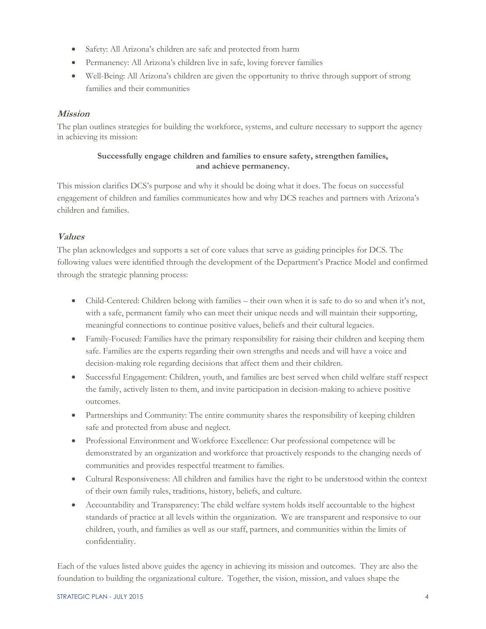- Safety: All Arizona's children are safe and protected from harm
- Permanency: All Arizona's children live in safe, loving forever families
- Well-Being: All Arizona's children are given the opportunity to thrive through support of strong families and their communities

#### **Mission**

The plan outlines strategies for building the workforce, systems, and culture necessary to support the agency in achieving its mission:

#### **Successfully engage children and families to ensure safety, strengthen families, and achieve permanency.**

This mission clarifies DCS's purpose and why it should be doing what it does. The focus on successful engagement of children and families communicates how and why DCS reaches and partners with Arizona's children and families.

#### **Values**

The plan acknowledges and supports a set of core values that serve as guiding principles for DCS. The following values were identified through the development of the Department's Practice Model and confirmed through the strategic planning process:

- Child-Centered: Children belong with families their own when it is safe to do so and when it's not, with a safe, permanent family who can meet their unique needs and will maintain their supporting, meaningful connections to continue positive values, beliefs and their cultural legacies.
- Family-Focused: Families have the primary responsibility for raising their children and keeping them safe. Families are the experts regarding their own strengths and needs and will have a voice and decision-making role regarding decisions that affect them and their children.
- Successful Engagement: Children, youth, and families are best served when child welfare staff respect the family, actively listen to them, and invite participation in decision-making to achieve positive outcomes.
- Partnerships and Community: The entire community shares the responsibility of keeping children safe and protected from abuse and neglect.
- Professional Environment and Workforce Excellence: Our professional competence will be demonstrated by an organization and workforce that proactively responds to the changing needs of communities and provides respectful treatment to families.
- Cultural Responsiveness: All children and families have the right to be understood within the context of their own family rules, traditions, history, beliefs, and culture.
- Accountability and Transparency: The child welfare system holds itself accountable to the highest standards of practice at all levels within the organization. We are transparent and responsive to our children, youth, and families as well as our staff, partners, and communities within the limits of confidentiality.

Each of the values listed above guides the agency in achieving its mission and outcomes. They are also the foundation to building the organizational culture. Together, the vision, mission, and values shape the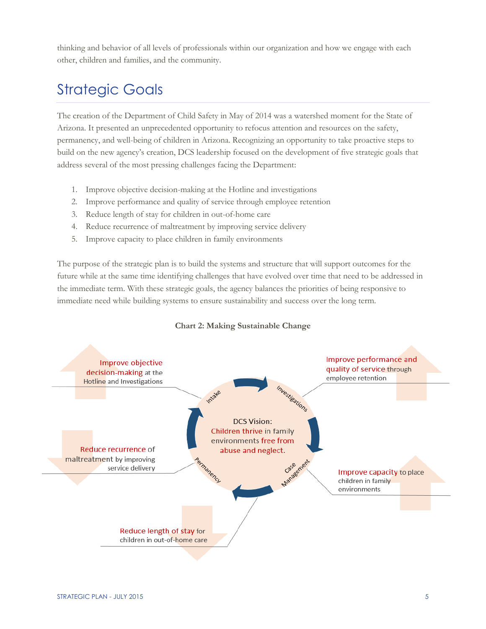thinking and behavior of all levels of professionals within our organization and how we engage with each other, children and families, and the community.

## <span id="page-7-0"></span>Strategic Goals

The creation of the Department of Child Safety in May of 2014 was a watershed moment for the State of Arizona. It presented an unprecedented opportunity to refocus attention and resources on the safety, permanency, and well-being of children in Arizona. Recognizing an opportunity to take proactive steps to build on the new agency's creation, DCS leadership focused on the development of five strategic goals that address several of the most pressing challenges facing the Department:

- 1. Improve objective decision-making at the Hotline and investigations
- 2. Improve performance and quality of service through employee retention
- 3. Reduce length of stay for children in out-of-home care
- 4. Reduce recurrence of maltreatment by improving service delivery
- 5. Improve capacity to place children in family environments

The purpose of the strategic plan is to build the systems and structure that will support outcomes for the future while at the same time identifying challenges that have evolved over time that need to be addressed in the immediate term. With these strategic goals, the agency balances the priorities of being responsive to immediate need while building systems to ensure sustainability and success over the long term.



#### **Chart 2: Making Sustainable Change**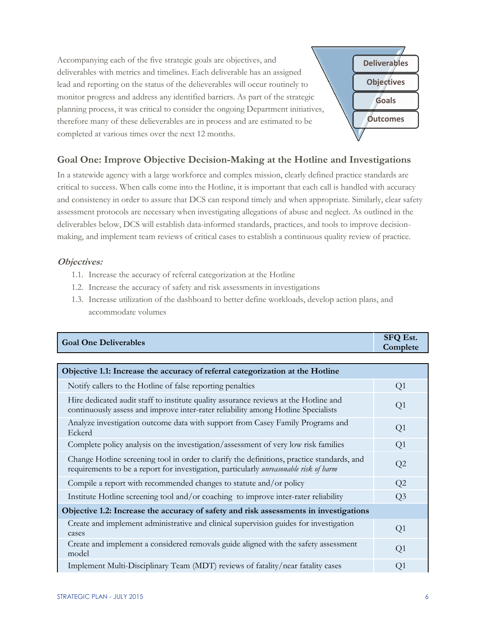Accompanying each of the five strategic goals are objectives, and deliverables with metrics and timelines. Each deliverable has an assigned lead and reporting on the status of the delieverables will occur routinely to monitor progress and address any identified barriers. As part of the strategic planning process, it was critical to consider the ongoing Department initiatives, therefore many of these delieverables are in process and are estimated to be completed at various times over the next 12 months. **Deliverables Objectives Goals Outcomes**

#### <span id="page-8-0"></span>**Goal One: Improve Objective Decision-Making at the Hotline and Investigations**

In a statewide agency with a large workforce and complex mission, clearly defined practice standards are critical to success. When calls come into the Hotline, it is important that each call is handled with accuracy and consistency in order to assure that DCS can respond timely and when appropriate. Similarly, clear safety assessment protocols are necessary when investigating allegations of abuse and neglect. As outlined in the deliverables below, DCS will establish data-informed standards, practices, and tools to improve decisionmaking, and implement team reviews of critical cases to establish a continuous quality review of practice.

- 1.1. Increase the accuracy of referral categorization at the Hotline
- 1.2. Increase the accuracy of safety and risk assessments in investigations
- 1.3. Increase utilization of the dashboard to better define workloads, develop action plans, and accommodate volumes

| <b>Goal One Deliverables</b> | <b>SFQ Est.</b><br>Complete |
|------------------------------|-----------------------------|
|                              |                             |

| Objective 1.1: Increase the accuracy of referral categorization at the Hotline                                                                                                      |                |  |
|-------------------------------------------------------------------------------------------------------------------------------------------------------------------------------------|----------------|--|
| Notify callers to the Hotline of false reporting penalties                                                                                                                          | Q1             |  |
| Hire dedicated audit staff to institute quality assurance reviews at the Hotline and<br>continuously assess and improve inter-rater reliability among Hotline Specialists           | Q1             |  |
| Analyze investigation outcome data with support from Casey Family Programs and<br>Eckerd                                                                                            | Q1             |  |
| Complete policy analysis on the investigation/assessment of very low risk families                                                                                                  | Q1             |  |
| Change Hotline screening tool in order to clarify the definitions, practice standards, and<br>requirements to be a report for investigation, particularly unreasonable risk of harm | Q2             |  |
| Compile a report with recommended changes to statute and/or policy                                                                                                                  | Q2             |  |
| Institute Hotline screening tool and/or coaching to improve inter-rater reliability                                                                                                 | Q <sub>3</sub> |  |
| Objective 1.2: Increase the accuracy of safety and risk assessments in investigations                                                                                               |                |  |
| Create and implement administrative and clinical supervision guides for investigation<br>cases                                                                                      | Q1             |  |
| Create and implement a considered removals guide aligned with the safety assessment<br>model                                                                                        | Q1             |  |
| Implement Multi-Disciplinary Team (MDT) reviews of fatality/near fatality cases                                                                                                     | Q1             |  |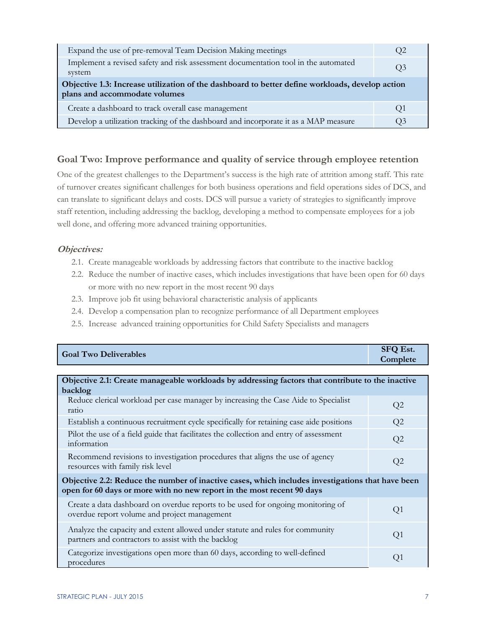| Expand the use of pre-removal Team Decision Making meetings                                                                      | U2 |
|----------------------------------------------------------------------------------------------------------------------------------|----|
| Implement a revised safety and risk assessment documentation tool in the automated<br>system                                     | O3 |
| Objective 1.3: Increase utilization of the dashboard to better define workloads, develop action<br>plans and accommodate volumes |    |
| Create a dashboard to track overall case management                                                                              | O1 |
|                                                                                                                                  |    |

#### <span id="page-9-0"></span>**Goal Two: Improve performance and quality of service through employee retention**

One of the greatest challenges to the Department's success is the high rate of attrition among staff. This rate of turnover creates significant challenges for both business operations and field operations sides of DCS, and can translate to significant delays and costs. DCS will pursue a variety of strategies to significantly improve staff retention, including addressing the backlog, developing a method to compensate employees for a job well done, and offering more advanced training opportunities.

- 2.1. Create manageable workloads by addressing factors that contribute to the inactive backlog
- 2.2. Reduce the number of inactive cases, which includes investigations that have been open for 60 days or more with no new report in the most recent 90 days
- 2.3. Improve job fit using behavioral characteristic analysis of applicants
- 2.4. Develop a compensation plan to recognize performance of all Department employees
- 2.5. Increase advanced training opportunities for Child Safety Specialists and managers

| <b>Goal Two Deliverables</b> | <b>SFQ Est.</b><br>Complete |
|------------------------------|-----------------------------|
|                              |                             |

| Objective 2.1: Create manageable workloads by addressing factors that contribute to the inactive<br>backlog                                                                |                |  |
|----------------------------------------------------------------------------------------------------------------------------------------------------------------------------|----------------|--|
| Reduce clerical workload per case manager by increasing the Case Aide to Specialist<br>ratio                                                                               | Q <sub>2</sub> |  |
| Establish a continuous recruitment cycle specifically for retaining case aide positions                                                                                    | Q2             |  |
| Pilot the use of a field guide that facilitates the collection and entry of assessment<br>information                                                                      | Q2             |  |
| Recommend revisions to investigation procedures that aligns the use of agency<br>resources with family risk level                                                          | Q2             |  |
| Objective 2.2: Reduce the number of inactive cases, which includes investigations that have been<br>open for 60 days or more with no new report in the most recent 90 days |                |  |
| Create a data dashboard on overdue reports to be used for ongoing monitoring of<br>overdue report volume and project management                                            | Q1             |  |
| Analyze the capacity and extent allowed under statute and rules for community<br>partners and contractors to assist with the backlog                                       | Q <sub>1</sub> |  |
| Categorize investigations open more than 60 days, according to well-defined<br>procedures                                                                                  | O1             |  |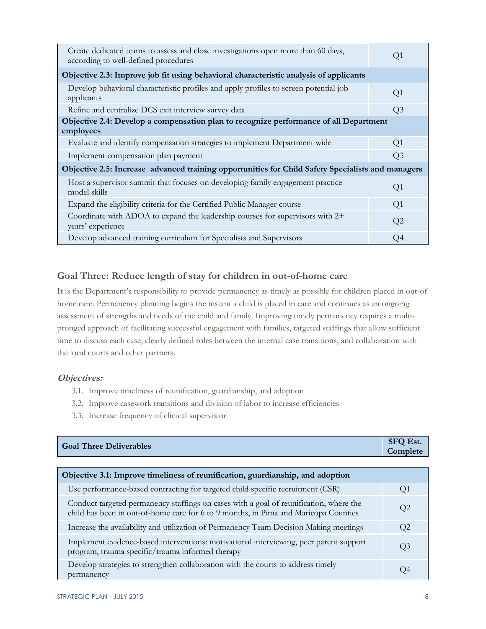| Create dedicated teams to assess and close investigations open more than 60 days,<br>according to well-defined procedures | Q1             |  |
|---------------------------------------------------------------------------------------------------------------------------|----------------|--|
| Objective 2.3: Improve job fit using behavioral characteristic analysis of applicants                                     |                |  |
| Develop behavioral characteristic profiles and apply profiles to screen potential job<br>applicants                       | Q <sub>1</sub> |  |
| Refine and centralize DCS exit interview survey data                                                                      | Q <sub>3</sub> |  |
| Objective 2.4: Develop a compensation plan to recognize performance of all Department<br>employees                        |                |  |
| Evaluate and identify compensation strategies to implement Department wide                                                | Q1             |  |
| Implement compensation plan payment                                                                                       | Q3             |  |
| Objective 2.5: Increase advanced training opportunities for Child Safety Specialists and managers                         |                |  |
| Host a supervisor summit that focuses on developing family engagement practice<br>model skills                            | Q1             |  |
| Expand the eligibility criteria for the Certified Public Manager course                                                   | Q1             |  |
| Coordinate with ADOA to expand the leadership courses for supervisors with 2+<br>years' experience                        | Q2             |  |
| Develop advanced training curriculum for Specialists and Supervisors                                                      | O4             |  |

#### <span id="page-10-0"></span>**Goal Three: Reduce length of stay for children in out-of-home care**

It is the Department's responsibility to provide permanency as timely as possible for children placed in out-of home care. Permanency planning begins the instant a child is placed in care and continues as an ongoing assessment of strengths and needs of the child and family. Improving timely permanency requires a multipronged approach of facilitating successful engagement with families, targeted staffings that allow sufficient time to discuss each case, clearly defined roles between the internal case transitions, and collaboration with the local courts and other partners.

- 3.1. Improve timeliness of reunification, guardianship, and adoption
- 3.2. Improve casework transitions and division of labor to increase efficiencies
- 3.3. Increase frequency of clinical supervision

| <b>Goal Three Deliverables</b>                                                                                                                                                | <b>SFQ Est.</b><br>Complete |
|-------------------------------------------------------------------------------------------------------------------------------------------------------------------------------|-----------------------------|
|                                                                                                                                                                               |                             |
| Objective 3.1: Improve timeliness of reunification, guardianship, and adoption                                                                                                |                             |
| Use performance-based contracting for targeted child specific recruitment (CSR)                                                                                               | Q1                          |
| Conduct targeted permanency staffings on cases with a goal of reunification, where the<br>child has been in out-of-home care for 6 to 9 months, in Pima and Maricopa Counties | Q <sub>2</sub>              |
| Increase the availability and utilization of Permanency Team Decision Making meetings                                                                                         | Q2                          |
| Implement evidence-based interventions: motivational interviewing, peer parent support<br>program, trauma specific/trauma informed therapy                                    | Q <sub>3</sub>              |
| Develop strategies to strengthen collaboration with the courts to address timely<br>permanency                                                                                | O4                          |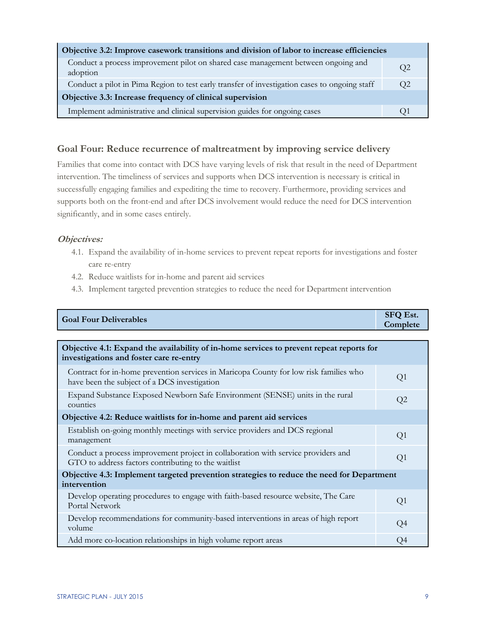| Objective 3.2: Improve casework transitions and division of labor to increase efficiencies    |    |  |
|-----------------------------------------------------------------------------------------------|----|--|
| Conduct a process improvement pilot on shared case management between ongoing and<br>adoption | O2 |  |
| Conduct a pilot in Pima Region to test early transfer of investigation cases to ongoing staff | O2 |  |
| Objective 3.3: Increase frequency of clinical supervision                                     |    |  |
| Implement administrative and clinical supervision guides for ongoing cases                    |    |  |

#### <span id="page-11-0"></span>**Goal Four: Reduce recurrence of maltreatment by improving service delivery**

Families that come into contact with DCS have varying levels of risk that result in the need of Department intervention. The timeliness of services and supports when DCS intervention is necessary is critical in successfully engaging families and expediting the time to recovery. Furthermore, providing services and supports both on the front-end and after DCS involvement would reduce the need for DCS intervention significantly, and in some cases entirely.

- 4.1. Expand the availability of in-home services to prevent repeat reports for investigations and foster care re-entry
- 4.2. Reduce waitlists for in-home and parent aid services
- 4.3. Implement targeted prevention strategies to reduce the need for Department intervention

| <b>Goal Four Deliverables</b> | <b>SFQ Est.</b><br>Complete |
|-------------------------------|-----------------------------|
|                               |                             |

| Objective 4.1: Expand the availability of in-home services to prevent repeat reports for<br>investigations and foster care re-entry      |                |  |
|------------------------------------------------------------------------------------------------------------------------------------------|----------------|--|
| Contract for in-home prevention services in Maricopa County for low risk families who<br>have been the subject of a DCS investigation    | Q <sub>1</sub> |  |
| Expand Substance Exposed Newborn Safe Environment (SENSE) units in the rural<br>counties                                                 | Q2             |  |
| Objective 4.2: Reduce waitlists for in-home and parent aid services                                                                      |                |  |
| Establish on-going monthly meetings with service providers and DCS regional<br>management                                                | Q <sub>1</sub> |  |
| Conduct a process improvement project in collaboration with service providers and<br>GTO to address factors contributing to the waitlist | Q <sub>1</sub> |  |
| Objective 4.3: Implement targeted prevention strategies to reduce the need for Department<br>intervention                                |                |  |
| Develop operating procedures to engage with faith-based resource website, The Care<br>Portal Network                                     | Q1             |  |
| Develop recommendations for community-based interventions in areas of high report<br>volume                                              | Q <sub>4</sub> |  |
| Add more co-location relationships in high volume report areas                                                                           | Q4             |  |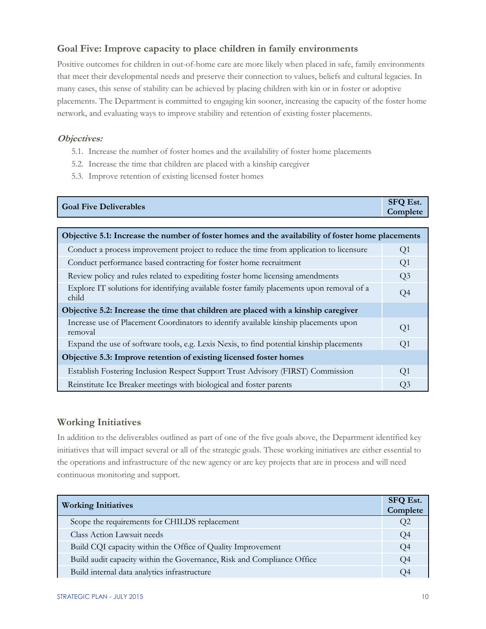#### <span id="page-12-0"></span>**Goal Five: Improve capacity to place children in family environments**

Positive outcomes for children in out-of-home care are more likely when placed in safe, family environments that meet their developmental needs and preserve their connection to values, beliefs and cultural legacies. In many cases, this sense of stability can be achieved by placing children with kin or in foster or adoptive placements. The Department is committed to engaging kin sooner, increasing the capacity of the foster home network, and evaluating ways to improve stability and retention of existing foster placements.

#### **Objectives:**

- 5.1. Increase the number of foster homes and the availability of foster home placements
- 5.2. Increase the time that children are placed with a kinship caregiver
- 5.3. Improve retention of existing licensed foster homes

| <b>Goal Five Deliverables</b> | <b>SFQ Est.</b><br><b>Complete</b> |
|-------------------------------|------------------------------------|
|                               |                                    |

| Objective 5.1: Increase the number of foster homes and the availability of foster home placements  |                |  |  |  |  |
|----------------------------------------------------------------------------------------------------|----------------|--|--|--|--|
| Conduct a process improvement project to reduce the time from application to licensure             | Q <sub>1</sub> |  |  |  |  |
| Conduct performance based contracting for foster home recruitment                                  | Q <sub>1</sub> |  |  |  |  |
| Review policy and rules related to expediting foster home licensing amendments                     | Q <sub>3</sub> |  |  |  |  |
| Explore IT solutions for identifying available foster family placements upon removal of a<br>child | Q4             |  |  |  |  |
| Objective 5.2: Increase the time that children are placed with a kinship caregiver                 |                |  |  |  |  |
| Increase use of Placement Coordinators to identify available kinship placements upon<br>removal    | Q1             |  |  |  |  |
| Expand the use of software tools, e.g. Lexis Nexis, to find potential kinship placements           | Q <sub>1</sub> |  |  |  |  |
| Objective 5.3: Improve retention of existing licensed foster homes                                 |                |  |  |  |  |
| Establish Fostering Inclusion Respect Support Trust Advisory (FIRST) Commission                    | O <sub>1</sub> |  |  |  |  |
| Reinstitute Ice Breaker meetings with biological and foster parents                                | Q3             |  |  |  |  |

#### <span id="page-12-1"></span>**Working Initiatives**

In addition to the deliverables outlined as part of one of the five goals above, the Department identified key initiatives that will impact several or all of the strategic goals. These working initiatives are either essential to the operations and infrastructure of the new agency or are key projects that are in process and will need continuous monitoring and support.

| <b>Working Initiatives</b>                                             | <b>SFQ Est.</b><br>Complete |
|------------------------------------------------------------------------|-----------------------------|
| Scope the requirements for CHILDS replacement                          | Q <sub>2</sub>              |
| Class Action Lawsuit needs                                             | Q4                          |
| Build CQI capacity within the Office of Quality Improvement            | Q4                          |
| Build audit capacity within the Governance, Risk and Compliance Office | Q4                          |
| Build internal data analytics infrastructure                           | Ο4                          |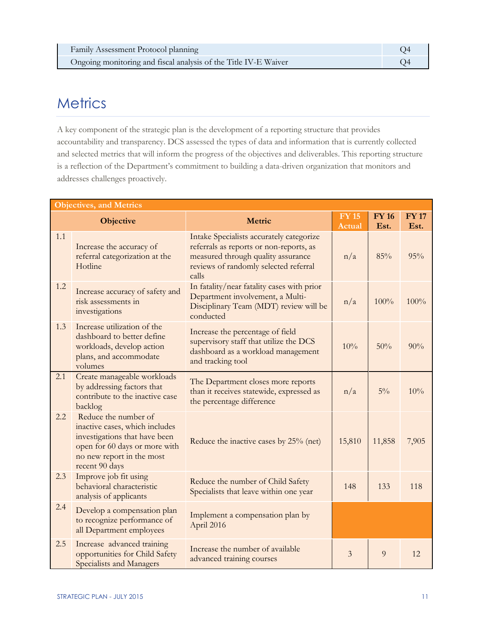## <span id="page-13-0"></span>**Metrics**

A key component of the strategic plan is the development of a reporting structure that provides accountability and transparency. DCS assessed the types of data and information that is currently collected and selected metrics that will inform the progress of the objectives and deliverables. This reporting structure is a reflection of the Department's commitment to building a data-driven organization that monitors and addresses challenges proactively.

| <b>Objectives, and Metrics</b> |                                                                                                                                                                         |                                                                                                                                                                             |                        |                      |                     |  |  |
|--------------------------------|-------------------------------------------------------------------------------------------------------------------------------------------------------------------------|-----------------------------------------------------------------------------------------------------------------------------------------------------------------------------|------------------------|----------------------|---------------------|--|--|
|                                | <b>Objective</b>                                                                                                                                                        | Metric                                                                                                                                                                      | <b>FY 15</b><br>Actual | <b>FY 16</b><br>Est. | <b>FY17</b><br>Est. |  |  |
| 1.1                            | Increase the accuracy of<br>referral categorization at the<br>Hotline                                                                                                   | Intake Specialists accurately categorize<br>referrals as reports or non-reports, as<br>measured through quality assurance<br>reviews of randomly selected referral<br>calls | n/a                    | 85%                  | 95%                 |  |  |
| 1.2                            | Increase accuracy of safety and<br>risk assessments in<br>investigations                                                                                                | In fatality/near fatality cases with prior<br>Department involvement, a Multi-<br>Disciplinary Team (MDT) review will be<br>conducted                                       | n/a                    | 100%                 | 100%                |  |  |
| 1.3                            | Increase utilization of the<br>dashboard to better define<br>workloads, develop action<br>plans, and accommodate<br>volumes                                             | Increase the percentage of field<br>supervisory staff that utilize the DCS<br>dashboard as a workload management<br>and tracking tool                                       | 10%                    | 50%                  | 90%                 |  |  |
| 2.1                            | Create manageable workloads<br>by addressing factors that<br>contribute to the inactive case<br>backlog                                                                 | The Department closes more reports<br>than it receives statewide, expressed as<br>the percentage difference                                                                 | n/a                    | $5\%$                | 10%                 |  |  |
| 2.2                            | Reduce the number of<br>inactive cases, which includes<br>investigations that have been<br>open for 60 days or more with<br>no new report in the most<br>recent 90 days | Reduce the inactive cases by 25% (net)                                                                                                                                      | 15,810                 | 11,858               | 7,905               |  |  |
| 2.3                            | Improve job fit using<br>behavioral characteristic<br>analysis of applicants                                                                                            | Reduce the number of Child Safety<br>Specialists that leave within one year                                                                                                 | 148                    | 133                  | 118                 |  |  |
| 2.4                            | Develop a compensation plan<br>to recognize performance of<br>all Department employees                                                                                  | Implement a compensation plan by<br>April 2016                                                                                                                              |                        |                      |                     |  |  |
| 2.5                            | Increase advanced training<br>opportunities for Child Safety<br>Specialists and Managers                                                                                | Increase the number of available<br>advanced training courses                                                                                                               | 3                      | 9                    | 12                  |  |  |